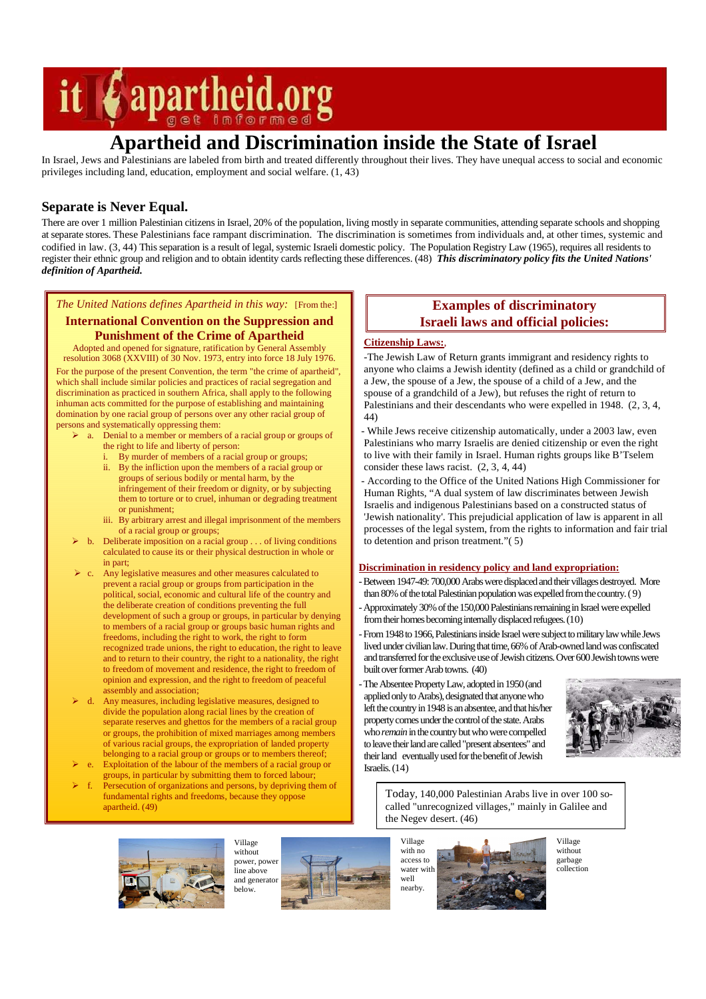# it Capartheid.org

# **Apartheid and Discrimination inside the State of Israel**

In Israel, Jews and Palestinians are labeled from birth and treated differently throughout their lives. They have unequal access to social and economic privileges including land, education, employment and social welfare. (1, 43)

## **Separate is Never Equal.**

There are over 1 million Palestinian citizens in Israel, 20% of the population, living mostly in separate communities, attending separate schools and shopping at separate stores. These Palestinians face rampant discrimination. The discrimination is sometimes from individuals and, at other times, systemic and codified in law. (3, 44) This separation is a result of legal, systemic Israeli domestic policy. The Population Registry Law (1965), requires all residents to register their ethnic group and religion and to obtain identity cards reflecting these differences. (48) *This discriminatory policy fits the United Nations' definition of Apartheid.*

*The United Nations defines Apartheid in this way:* [From the:]

### **International Convention on the Suppression and Punishment of the Crime of Apartheid**

Adopted and opened for signature, ratification by General Assembly resolution 3068 (XXVIII) of 30 Nov. 1973, entry into force 18 July 1976. For the purpose of the present Convention, the term "the crime of apartheid", which shall include similar policies and practices of racial segregation and discrimination as practiced in southern Africa, shall apply to the following inhuman acts committed for the purpose of establishing and maintaining domination by one racial group of persons over any other racial group of persons and systematically oppressing them:

- $\triangleright$  a. Denial to a member or members of a racial group or groups of the right to life and liberty of person:
	- i. By murder of members of a racial group or groups;
	- ii. By the infliction upon the members of a racial group or groups of serious bodily or mental harm, by the infringement of their freedom or dignity, or by subjecting them to torture or to cruel, inhuman or degrading treatment or punishment;
	- iii. By arbitrary arrest and illegal imprisonment of the members of a racial group or groups;
- b. Deliberate imposition on a racial group . . . of living conditions calculated to cause its or their physical destruction in whole or in part;
- Any legislative measures and other measures calculated to prevent a racial group or groups from participation in the political, social, economic and cultural life of the country and the deliberate creation of conditions preventing the full development of such a group or groups, in particular by denying to members of a racial group or groups basic human rights and freedoms, including the right to work, the right to form recognized trade unions, the right to education, the right to leave and to return to their country, the right to a nationality, the right to freedom of movement and residence, the right to freedom of opinion and expression, and the right to freedom of peaceful assembly and association;
- d. Any measures, including legislative measures, designed to divide the population along racial lines by the creation of separate reserves and ghettos for the members of a racial group or groups, the prohibition of mixed marriages among members of various racial groups, the expropriation of landed property belonging to a racial group or groups or to members thereof;
- Exploitation of the labour of the members of a racial group or groups, in particular by submitting them to forced labour;
- Persecution of organizations and persons, by depriving them of fundamental rights and freedoms, because they oppose apartheid. (49)

### **Examples of discriminatory Israeli laws and official policies:**

#### **Citizenship Laws:**,

-The Jewish Law of Return grants immigrant and residency rights to anyone who claims a Jewish identity (defined as a child or grandchild of a Jew, the spouse of a Jew, the spouse of a child of a Jew, and the spouse of a grandchild of a Jew), but refuses the right of return to Palestinians and their descendants who were expelled in 1948. (2, 3, 4,  $44$ )

While Jews receive citizenship automatically, under a 2003 law, even Palestinians who marry Israelis are denied citizenship or even the right to live with their family in Israel. Human rights groups like B'Tselem consider these laws racist. (2, 3, 4, 44)

 - According to the Office of the United Nations High Commissioner for Human Rights, "A dual system of law discriminates between Jewish Israelis and indigenous Palestinians based on a constructed status of 'Jewish nationality'. This prejudicial application of law is apparent in all processes of the legal system, from the rights to information and fair trial to detention and prison treatment."( 5)

#### **Discrimination in residency policy and land expropriation:**

- Between 1947-49: 700,000 Arabs were displaced and their villages destroyed. More than 80% of the total Palestinian population was expelled from the country. ( 9)

- Approximately 30% of the 150,000 Palestinians remaining in Israel were expelled from their homes becoming internally displaced refugees. (10)
- From 1948 to 1966, Palestinians inside Israel were subject to military law while Jews lived under civilian law. During that time, 66% of Arab-owned land was confiscated and transferred for the exclusive use of Jewish citizens. Over 600 Jewish towns were built over former Arab towns. (40)

- The Absentee Property Law, adopted in 1950 (and applied only to Arabs), designated that anyone who left the country in 1948 is an absentee, and that his/her property comes under the control of the state. Arabs who *remain* in the country but who were compelled to leave their land are called "present absentees" and their land eventually used for the benefit of Jewish Israelis. (14)



Today, 140,000 Palestinian Arabs live in over 100 socalled "unrecognized villages," mainly in Galilee and the Negev desert. (46)



Village without power, power line above and generator below.



Village with no access to water with well nearby.



Village without garbage collection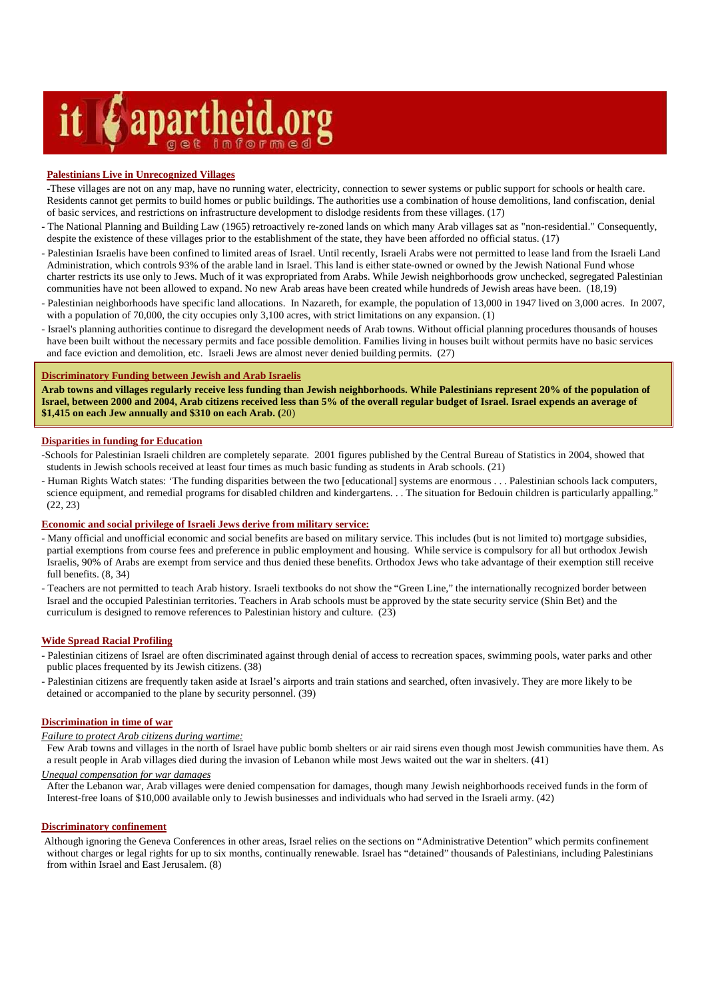# it Capartheid.org

#### **Palestinians Live in Unrecognized Villages**

-These villages are not on any map, have no running water, electricity, connection to sewer systems or public support for schools or health care. Residents cannot get permits to build homes or public buildings. The authorities use a combination of house demolitions, land confiscation, denial of basic services, and restrictions on infrastructure development to dislodge residents from these villages. (17)

- The National Planning and Building Law (1965) retroactively re-zoned lands on which many Arab villages sat as "non-residential." Consequently, despite the existence of these villages prior to the establishment of the state, they have been afforded no official status. (17)
- Palestinian Israelis have been confined to limited areas of Israel. Until recently, Israeli Arabs were not permitted to lease land from the Israeli Land Administration, which controls 93% of the arable land in Israel. This land is either state-owned or owned by the Jewish National Fund whose charter restricts its use only to Jews. Much of it was expropriated from Arabs. While Jewish neighborhoods grow unchecked, segregated Palestinian communities have not been allowed to expand. No new Arab areas have been created while hundreds of Jewish areas have been. (18,19)
- Palestinian neighborhoods have specific land allocations. In Nazareth, for example, the population of 13,000 in 1947 lived on 3,000 acres. In 2007, with a population of 70,000, the city occupies only 3,100 acres, with strict limitations on any expansion. (1)
- Israel's planning authorities continue to disregard the development needs of Arab towns. Without official planning procedures thousands of houses have been built without the necessary permits and face possible demolition. Families living in houses built without permits have no basic services and face eviction and demolition, etc. Israeli Jews are almost never denied building permits. (27)

#### **Discriminatory Funding between Jewish and Arab Israelis**

**Arab towns and villages regularly receive less funding than Jewish neighborhoods. While Palestinians represent 20% of the population of Israel, between 2000 and 2004, Arab citizens received less than 5% of the overall regular budget of Israel. Israel expends an average of \$1,415 on each Jew annually and \$310 on each Arab. (**20)

#### **Disparities in funding for Education**

- -Schools for Palestinian Israeli children are completely separate. 2001 figures published by the Central Bureau of Statistics in 2004, showed that students in Jewish schools received at least four times as much basic funding as students in Arab schools. (21)
- Human Rights Watch states: 'The funding disparities between the two [educational] systems are enormous . . . Palestinian schools lack computers, science equipment, and remedial programs for disabled children and kindergartens. . . The situation for Bedouin children is particularly appalling." (22, 23)

#### **Economic and social privilege of Israeli Jews derive from military service:**

- Many official and unofficial economic and social benefits are based on military service. This includes (but is not limited to) mortgage subsidies, partial exemptions from course fees and preference in public employment and housing. While service is compulsory for all but orthodox Jewish Israelis, 90% of Arabs are exempt from service and thus denied these benefits. Orthodox Jews who take advantage of their exemption still receive full benefits. (8, 34)
- Teachers are not permitted to teach Arab history. Israeli textbooks do not show the "Green Line," the internationally recognized border between Israel and the occupied Palestinian territories. Teachers in Arab schools must be approved by the state security service (Shin Bet) and the curriculum is designed to remove references to Palestinian history and culture. (23)

#### **Wide Spread Racial Profiling**

- Palestinian citizens of Israel are often discriminated against through denial of access to recreation spaces, swimming pools, water parks and other public places frequented by its Jewish citizens. (38)
- Palestinian citizens are frequently taken aside at Israel's airports and train stations and searched, often invasively. They are more likely to be detained or accompanied to the plane by security personnel. (39)

#### **Discrimination in time of war**

#### *Failure to protect Arab citizens during wartime:*

Few Arab towns and villages in the north of Israel have public bomb shelters or air raid sirens even though most Jewish communities have them. As a result people in Arab villages died during the invasion of Lebanon while most Jews waited out the war in shelters. (41)

#### *Unequal compensation for war damages*

After the Lebanon war, Arab villages were denied compensation for damages, though many Jewish neighborhoods received funds in the form of Interest-free loans of \$10,000 available only to Jewish businesses and individuals who had served in the Israeli army. (42)

#### **Discriminatory confinement**

 Although ignoring the Geneva Conferences in other areas, Israel relies on the sections on "Administrative Detention" which permits confinement without charges or legal rights for up to six months, continually renewable. Israel has "detained" thousands of Palestinians, including Palestinians from within Israel and East Jerusalem. (8)